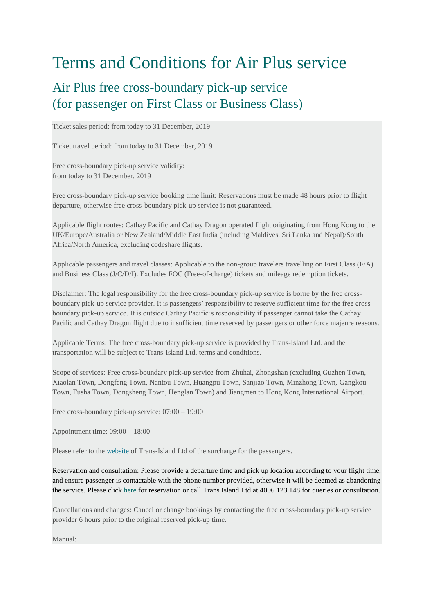## Terms and Conditions for Air Plus service

## Air Plus free cross-boundary pick-up service (for passenger on First Class or Business Class)

Ticket sales period: from today to 31 December, 2019

Ticket travel period: from today to 31 December, 2019

Free cross-boundary pick-up service validity: from today to 31 December, 2019

Free cross-boundary pick-up service booking time limit: Reservations must be made 48 hours prior to flight departure, otherwise free cross-boundary pick-up service is not guaranteed.

Applicable flight routes: Cathay Pacific and Cathay Dragon operated flight originating from Hong Kong to the UK/Europe/Australia or New Zealand/Middle East India (including Maldives, Sri Lanka and Nepal)/South Africa/North America, excluding codeshare flights.

Applicable passengers and travel classes: Applicable to the non-group travelers travelling on First Class (F/A) and Business Class (J/C/D/I). Excludes FOC (Free-of-charge) tickets and mileage redemption tickets.

Disclaimer: The legal responsibility for the free cross-boundary pick-up service is borne by the free crossboundary pick-up service provider. It is passengers' responsibility to reserve sufficient time for the free crossboundary pick-up service. It is outside Cathay Pacific's responsibility if passenger cannot take the Cathay Pacific and Cathay Dragon flight due to insufficient time reserved by passengers or other force majeure reasons.

Applicable Terms: The free cross-boundary pick-up service is provided by Trans-Island Ltd. and the transportation will be subject to Trans-Island Ltd. terms and conditions.

Scope of services: Free cross-boundary pick-up service from Zhuhai, Zhongshan (excluding Guzhen Town, Xiaolan Town, Dongfeng Town, Nantou Town, Huangpu Town, Sanjiao Town, Minzhong Town, Gangkou Town, Fusha Town, Dongsheng Town, Henglan Town) and Jiangmen to Hong Kong International Airport.

Free cross-boundary pick-up service: 07:00 – 19:00

Appointment time: 09:00 – 18:00

Please refer to the [website](http://www.trans-island.com.hk/en/onlinebooking_cx.php) of Trans-Island Ltd of the surcharge for the passengers.

Reservation and consultation: Please provide a departure time and pick up location according to your flight time, and ensure passenger is contactable with the phone number provided, otherwise it will be deemed as abandoning the service. Please click [here](http://www.trans-island.com.hk/en/onlinebooking_cx.php) for reservation or call Trans Island Ltd at 4006 123 148 for queries or consultation.

Cancellations and changes: Cancel or change bookings by contacting the free cross-boundary pick-up service provider 6 hours prior to the original reserved pick-up time.

Manual: